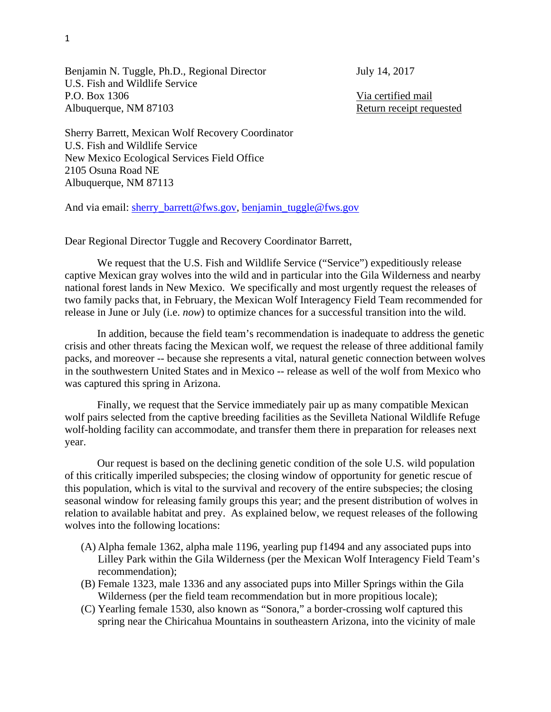Benjamin N. Tuggle, Ph.D., Regional Director July 14, 2017 U.S. Fish and Wildlife Service P.O. Box 1306 Via certified mail Albuquerque, NM 87103 Return receipt requested

Sherry Barrett, Mexican Wolf Recovery Coordinator U.S. Fish and Wildlife Service New Mexico Ecological Services Field Office 2105 Osuna Road NE Albuquerque, NM 87113

And via email: sherry\_barrett@fws.gov, benjamin\_tuggle@fws.gov

Dear Regional Director Tuggle and Recovery Coordinator Barrett,

 We request that the U.S. Fish and Wildlife Service ("Service") expeditiously release captive Mexican gray wolves into the wild and in particular into the Gila Wilderness and nearby national forest lands in New Mexico. We specifically and most urgently request the releases of two family packs that, in February, the Mexican Wolf Interagency Field Team recommended for release in June or July (i.e. *now*) to optimize chances for a successful transition into the wild.

 In addition, because the field team's recommendation is inadequate to address the genetic crisis and other threats facing the Mexican wolf, we request the release of three additional family packs, and moreover -- because she represents a vital, natural genetic connection between wolves in the southwestern United States and in Mexico -- release as well of the wolf from Mexico who was captured this spring in Arizona.

 Finally, we request that the Service immediately pair up as many compatible Mexican wolf pairs selected from the captive breeding facilities as the Sevilleta National Wildlife Refuge wolf-holding facility can accommodate, and transfer them there in preparation for releases next year.

 Our request is based on the declining genetic condition of the sole U.S. wild population of this critically imperiled subspecies; the closing window of opportunity for genetic rescue of this population, which is vital to the survival and recovery of the entire subspecies; the closing seasonal window for releasing family groups this year; and the present distribution of wolves in relation to available habitat and prey. As explained below, we request releases of the following wolves into the following locations:

- (A) Alpha female 1362, alpha male 1196, yearling pup f1494 and any associated pups into Lilley Park within the Gila Wilderness (per the Mexican Wolf Interagency Field Team's recommendation);
- (B) Female 1323, male 1336 and any associated pups into Miller Springs within the Gila Wilderness (per the field team recommendation but in more propitious locale);
- (C) Yearling female 1530, also known as "Sonora," a border-crossing wolf captured this spring near the Chiricahua Mountains in southeastern Arizona, into the vicinity of male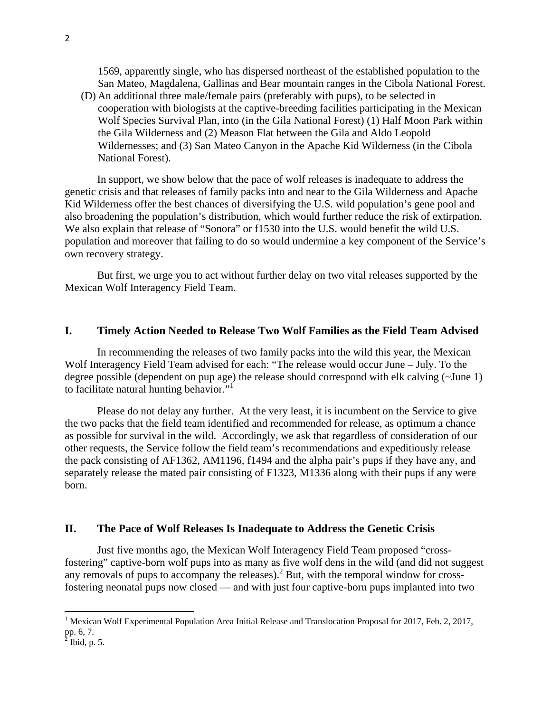1569, apparently single, who has dispersed northeast of the established population to the San Mateo, Magdalena, Gallinas and Bear mountain ranges in the Cibola National Forest.

(D) An additional three male/female pairs (preferably with pups), to be selected in cooperation with biologists at the captive-breeding facilities participating in the Mexican Wolf Species Survival Plan, into (in the Gila National Forest) (1) Half Moon Park within the Gila Wilderness and (2) Meason Flat between the Gila and Aldo Leopold Wildernesses; and (3) San Mateo Canyon in the Apache Kid Wilderness (in the Cibola National Forest).

 In support, we show below that the pace of wolf releases is inadequate to address the genetic crisis and that releases of family packs into and near to the Gila Wilderness and Apache Kid Wilderness offer the best chances of diversifying the U.S. wild population's gene pool and also broadening the population's distribution, which would further reduce the risk of extirpation. We also explain that release of "Sonora" or f1530 into the U.S. would benefit the wild U.S. population and moreover that failing to do so would undermine a key component of the Service's own recovery strategy.

 But first, we urge you to act without further delay on two vital releases supported by the Mexican Wolf Interagency Field Team.

### **I. Timely Action Needed to Release Two Wolf Families as the Field Team Advised**

 In recommending the releases of two family packs into the wild this year, the Mexican Wolf Interagency Field Team advised for each: "The release would occur June – July. To the degree possible (dependent on pup age) the release should correspond with elk calving (~June 1) to facilitate natural hunting behavior."<sup>1</sup>

 Please do not delay any further. At the very least, it is incumbent on the Service to give the two packs that the field team identified and recommended for release, as optimum a chance as possible for survival in the wild. Accordingly, we ask that regardless of consideration of our other requests, the Service follow the field team's recommendations and expeditiously release the pack consisting of AF1362, AM1196, f1494 and the alpha pair's pups if they have any, and separately release the mated pair consisting of F1323, M1336 along with their pups if any were born.

### **II. The Pace of Wolf Releases Is Inadequate to Address the Genetic Crisis**

 Just five months ago, the Mexican Wolf Interagency Field Team proposed "crossfostering" captive-born wolf pups into as many as five wolf dens in the wild (and did not suggest any removals of pups to accompany the releases).<sup>2</sup> But, with the temporal window for crossfostering neonatal pups now closed –– and with just four captive-born pups implanted into two

<sup>&</sup>lt;sup>1</sup> Mexican Wolf Experimental Population Area Initial Release and Translocation Proposal for 2017, Feb. 2, 2017, pp. 6, 7.<br><sup>2</sup> Ibid, p. 5.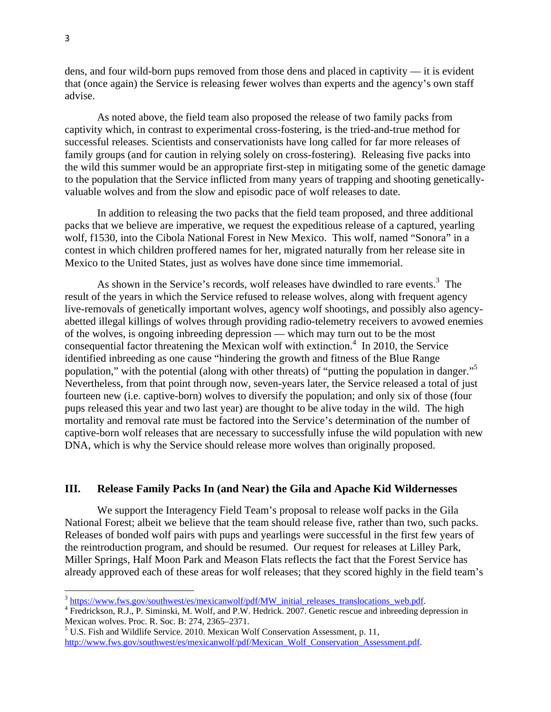dens, and four wild-born pups removed from those dens and placed in captivity –– it is evident that (once again) the Service is releasing fewer wolves than experts and the agency's own staff advise.

 As noted above, the field team also proposed the release of two family packs from captivity which, in contrast to experimental cross-fostering, is the tried-and-true method for successful releases. Scientists and conservationists have long called for far more releases of family groups (and for caution in relying solely on cross-fostering). Releasing five packs into the wild this summer would be an appropriate first-step in mitigating some of the genetic damage to the population that the Service inflicted from many years of trapping and shooting geneticallyvaluable wolves and from the slow and episodic pace of wolf releases to date.

 In addition to releasing the two packs that the field team proposed, and three additional packs that we believe are imperative, we request the expeditious release of a captured, yearling wolf, f1530, into the Cibola National Forest in New Mexico. This wolf, named "Sonora" in a contest in which children proffered names for her, migrated naturally from her release site in Mexico to the United States, just as wolves have done since time immemorial.

As shown in the Service's records, wolf releases have dwindled to rare events. $3$  The result of the years in which the Service refused to release wolves, along with frequent agency live-removals of genetically important wolves, agency wolf shootings, and possibly also agencyabetted illegal killings of wolves through providing radio-telemetry receivers to avowed enemies of the wolves, is ongoing inbreeding depression –– which may turn out to be the most consequential factor threatening the Mexican wolf with extinction.<sup>4</sup> In 2010, the Service identified inbreeding as one cause "hindering the growth and fitness of the Blue Range population," with the potential (along with other threats) of "putting the population in danger."<sup>5</sup> Nevertheless, from that point through now, seven-years later, the Service released a total of just fourteen new (i.e. captive-born) wolves to diversify the population; and only six of those (four pups released this year and two last year) are thought to be alive today in the wild. The high mortality and removal rate must be factored into the Service's determination of the number of captive-born wolf releases that are necessary to successfully infuse the wild population with new DNA, which is why the Service should release more wolves than originally proposed.

# **III. Release Family Packs In (and Near) the Gila and Apache Kid Wildernesses**

 We support the Interagency Field Team's proposal to release wolf packs in the Gila National Forest; albeit we believe that the team should release five, rather than two, such packs. Releases of bonded wolf pairs with pups and yearlings were successful in the first few years of the reintroduction program, and should be resumed. Our request for releases at Lilley Park, Miller Springs, Half Moon Park and Meason Flats reflects the fact that the Forest Service has already approved each of these areas for wolf releases; that they scored highly in the field team's

<sup>&</sup>lt;sup>3</sup> https://www.fws.gov/southwest/es/mexicanwolf/pdf/MW\_initial\_releases\_translocations\_web.pdf.

<sup>&</sup>lt;sup>4</sup> Fredrickson, R.J., P. Siminski, M. Wolf, and P.W. Hedrick. 2007. Genetic rescue and inbreeding depression in Mexican wolves. Proc. R. Soc. B: 274, 2365–2371.

<sup>&</sup>lt;sup>5</sup> U.S. Fish and Wildlife Service. 2010. Mexican Wolf Conservation Assessment, p. 11, http://www.fws.gov/southwest/es/mexicanwolf/pdf/Mexican\_Wolf\_Conservation\_Assessment.pdf.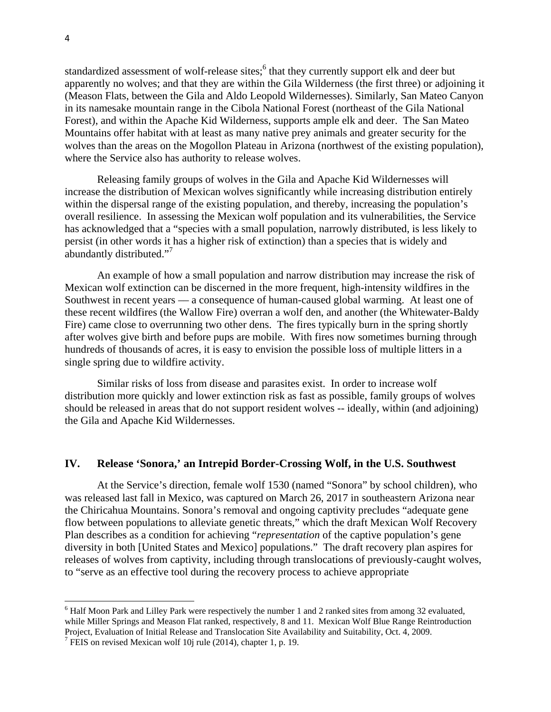standardized assessment of wolf-release sites;<sup>6</sup> that they currently support elk and deer but apparently no wolves; and that they are within the Gila Wilderness (the first three) or adjoining it (Meason Flats, between the Gila and Aldo Leopold Wildernesses). Similarly, San Mateo Canyon in its namesake mountain range in the Cibola National Forest (northeast of the Gila National Forest), and within the Apache Kid Wilderness, supports ample elk and deer. The San Mateo Mountains offer habitat with at least as many native prey animals and greater security for the wolves than the areas on the Mogollon Plateau in Arizona (northwest of the existing population), where the Service also has authority to release wolves.

 Releasing family groups of wolves in the Gila and Apache Kid Wildernesses will increase the distribution of Mexican wolves significantly while increasing distribution entirely within the dispersal range of the existing population, and thereby, increasing the population's overall resilience. In assessing the Mexican wolf population and its vulnerabilities, the Service has acknowledged that a "species with a small population, narrowly distributed, is less likely to persist (in other words it has a higher risk of extinction) than a species that is widely and abundantly distributed."<sup>7</sup>

 An example of how a small population and narrow distribution may increase the risk of Mexican wolf extinction can be discerned in the more frequent, high-intensity wildfires in the Southwest in recent years –– a consequence of human-caused global warming. At least one of these recent wildfires (the Wallow Fire) overran a wolf den, and another (the Whitewater-Baldy Fire) came close to overrunning two other dens. The fires typically burn in the spring shortly after wolves give birth and before pups are mobile. With fires now sometimes burning through hundreds of thousands of acres, it is easy to envision the possible loss of multiple litters in a single spring due to wildfire activity.

 Similar risks of loss from disease and parasites exist. In order to increase wolf distribution more quickly and lower extinction risk as fast as possible, family groups of wolves should be released in areas that do not support resident wolves -- ideally, within (and adjoining) the Gila and Apache Kid Wildernesses.

### **IV. Release 'Sonora,' an Intrepid Border-Crossing Wolf, in the U.S. Southwest**

 At the Service's direction, female wolf 1530 (named "Sonora" by school children), who was released last fall in Mexico, was captured on March 26, 2017 in southeastern Arizona near the Chiricahua Mountains. Sonora's removal and ongoing captivity precludes "adequate gene flow between populations to alleviate genetic threats," which the draft Mexican Wolf Recovery Plan describes as a condition for achieving "*representation* of the captive population's gene diversity in both [United States and Mexico] populations." The draft recovery plan aspires for releases of wolves from captivity, including through translocations of previously-caught wolves, to "serve as an effective tool during the recovery process to achieve appropriate

<sup>&</sup>lt;sup>6</sup> Half Moon Park and Lilley Park were respectively the number 1 and 2 ranked sites from among 32 evaluated, while Miller Springs and Meason Flat ranked, respectively, 8 and 11. Mexican Wolf Blue Range Reintroduction Project, Evaluation of Initial Release and Translocation Site Availability and Suitability, Oct. 4, 2009.

<sup>&</sup>lt;sup>7</sup> FEIS on revised Mexican wolf 10j rule (2014), chapter 1, p. 19.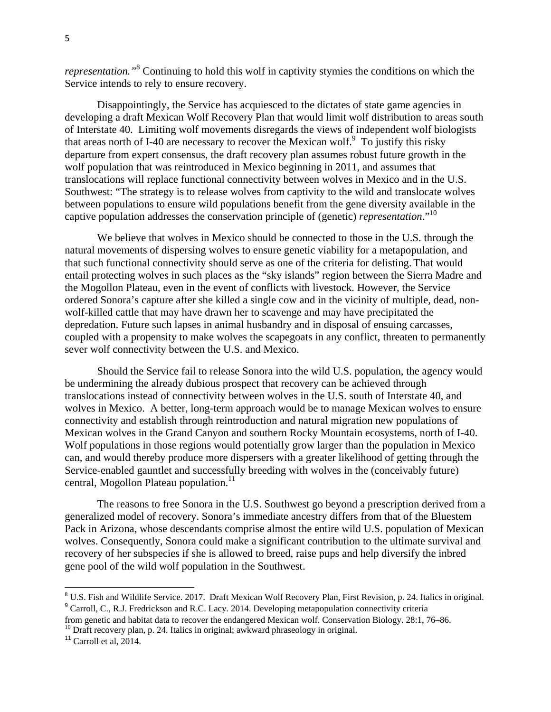*representation."*<sup>8</sup> Continuing to hold this wolf in captivity stymies the conditions on which the Service intends to rely to ensure recovery.

 Disappointingly, the Service has acquiesced to the dictates of state game agencies in developing a draft Mexican Wolf Recovery Plan that would limit wolf distribution to areas south of Interstate 40. Limiting wolf movements disregards the views of independent wolf biologists that areas north of I-40 are necessary to recover the Mexican wolf.  $\degree$  To justify this risky departure from expert consensus, the draft recovery plan assumes robust future growth in the wolf population that was reintroduced in Mexico beginning in 2011, and assumes that translocations will replace functional connectivity between wolves in Mexico and in the U.S. Southwest: "The strategy is to release wolves from captivity to the wild and translocate wolves between populations to ensure wild populations benefit from the gene diversity available in the captive population addresses the conservation principle of (genetic) *representation*."10

 We believe that wolves in Mexico should be connected to those in the U.S. through the natural movements of dispersing wolves to ensure genetic viability for a metapopulation, and that such functional connectivity should serve as one of the criteria for delisting. That would entail protecting wolves in such places as the "sky islands" region between the Sierra Madre and the Mogollon Plateau, even in the event of conflicts with livestock. However, the Service ordered Sonora's capture after she killed a single cow and in the vicinity of multiple, dead, nonwolf-killed cattle that may have drawn her to scavenge and may have precipitated the depredation. Future such lapses in animal husbandry and in disposal of ensuing carcasses, coupled with a propensity to make wolves the scapegoats in any conflict, threaten to permanently sever wolf connectivity between the U.S. and Mexico.

 Should the Service fail to release Sonora into the wild U.S. population, the agency would be undermining the already dubious prospect that recovery can be achieved through translocations instead of connectivity between wolves in the U.S. south of Interstate 40, and wolves in Mexico. A better, long-term approach would be to manage Mexican wolves to ensure connectivity and establish through reintroduction and natural migration new populations of Mexican wolves in the Grand Canyon and southern Rocky Mountain ecosystems, north of I-40. Wolf populations in those regions would potentially grow larger than the population in Mexico can, and would thereby produce more dispersers with a greater likelihood of getting through the Service-enabled gauntlet and successfully breeding with wolves in the (conceivably future) central, Mogollon Plateau population.<sup>11</sup>

 The reasons to free Sonora in the U.S. Southwest go beyond a prescription derived from a generalized model of recovery. Sonora's immediate ancestry differs from that of the Bluestem Pack in Arizona, whose descendants comprise almost the entire wild U.S. population of Mexican wolves. Consequently, Sonora could make a significant contribution to the ultimate survival and recovery of her subspecies if she is allowed to breed, raise pups and help diversify the inbred gene pool of the wild wolf population in the Southwest.

<sup>&</sup>lt;sup>8</sup> U.S. Fish and Wildlife Service. 2017. Draft Mexican Wolf Recovery Plan, First Revision, p. 24. Italics in original. <sup>9</sup> Carroll, C., R.J. Fredrickson and R.C. Lacy. 2014. Developing metapopulation connectivity criteria

from genetic and habitat data to recover the endangered Mexican wolf. Conservation Biology. 28:1, 76–86.

<sup>&</sup>lt;sup>10</sup> Draft recovery plan, p. 24. Italics in original; awkward phraseology in original.

 $11$  Carroll et al. 2014.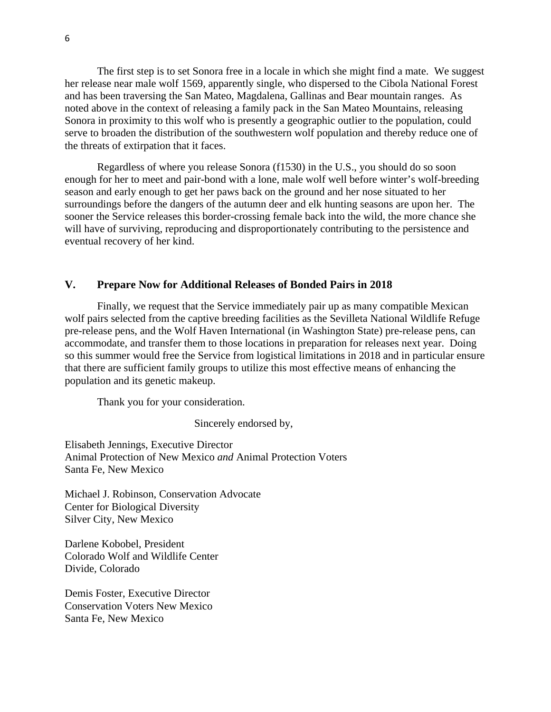The first step is to set Sonora free in a locale in which she might find a mate. We suggest her release near male wolf 1569, apparently single, who dispersed to the Cibola National Forest and has been traversing the San Mateo, Magdalena, Gallinas and Bear mountain ranges. As noted above in the context of releasing a family pack in the San Mateo Mountains, releasing Sonora in proximity to this wolf who is presently a geographic outlier to the population, could serve to broaden the distribution of the southwestern wolf population and thereby reduce one of the threats of extirpation that it faces.

 Regardless of where you release Sonora (f1530) in the U.S., you should do so soon enough for her to meet and pair-bond with a lone, male wolf well before winter's wolf-breeding season and early enough to get her paws back on the ground and her nose situated to her surroundings before the dangers of the autumn deer and elk hunting seasons are upon her. The sooner the Service releases this border-crossing female back into the wild, the more chance she will have of surviving, reproducing and disproportionately contributing to the persistence and eventual recovery of her kind.

## **V. Prepare Now for Additional Releases of Bonded Pairs in 2018**

 Finally, we request that the Service immediately pair up as many compatible Mexican wolf pairs selected from the captive breeding facilities as the Sevilleta National Wildlife Refuge pre-release pens, and the Wolf Haven International (in Washington State) pre-release pens, can accommodate, and transfer them to those locations in preparation for releases next year. Doing so this summer would free the Service from logistical limitations in 2018 and in particular ensure that there are sufficient family groups to utilize this most effective means of enhancing the population and its genetic makeup.

Thank you for your consideration.

Sincerely endorsed by,

Elisabeth Jennings, Executive Director Animal Protection of New Mexico *and* Animal Protection Voters Santa Fe, New Mexico

Michael J. Robinson, Conservation Advocate Center for Biological Diversity Silver City, New Mexico

Darlene Kobobel, President Colorado Wolf and Wildlife Center Divide, Colorado

Demis Foster, Executive Director Conservation Voters New Mexico Santa Fe, New Mexico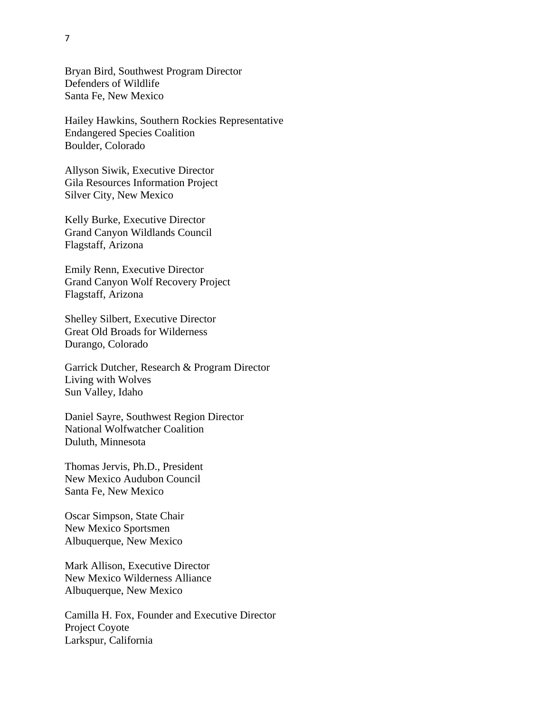Bryan Bird, Southwest Program Director Defenders of Wildlife Santa Fe, New Mexico

Hailey Hawkins, Southern Rockies Representative Endangered Species Coalition Boulder, Colorado

Allyson Siwik, Executive Director Gila Resources Information Project Silver City, New Mexico

Kelly Burke, Executive Director Grand Canyon Wildlands Council Flagstaff, Arizona

Emily Renn, Executive Director Grand Canyon Wolf Recovery Project Flagstaff, Arizona

Shelley Silbert, Executive Director Great Old Broads for Wilderness Durango, Colorado

Garrick Dutcher, Research & Program Director Living with Wolves Sun Valley, Idaho

Daniel Sayre, Southwest Region Director National Wolfwatcher Coalition Duluth, Minnesota

Thomas Jervis, Ph.D., President New Mexico Audubon Council Santa Fe, New Mexico

Oscar Simpson, State Chair New Mexico Sportsmen Albuquerque, New Mexico

Mark Allison, Executive Director New Mexico Wilderness Alliance Albuquerque, New Mexico

Camilla H. Fox, Founder and Executive Director Project Coyote Larkspur, California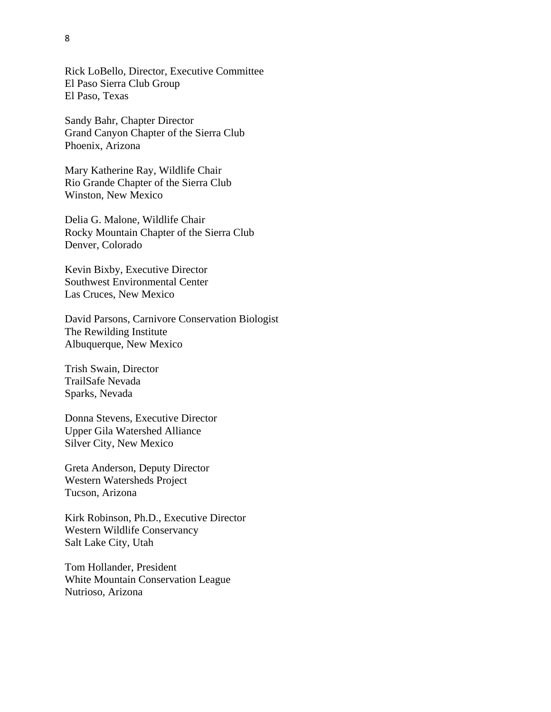Rick LoBello, Director, Executive Committee El Paso Sierra Club Group El Paso, Texas

Sandy Bahr, Chapter Director Grand Canyon Chapter of the Sierra Club Phoenix, Arizona

Mary Katherine Ray, Wildlife Chair Rio Grande Chapter of the Sierra Club Winston, New Mexico

Delia G. Malone, Wildlife Chair Rocky Mountain Chapter of the Sierra Club Denver, Colorado

Kevin Bixby, Executive Director Southwest Environmental Center Las Cruces, New Mexico

David Parsons, Carnivore Conservation Biologist The Rewilding Institute Albuquerque, New Mexico

Trish Swain, Director TrailSafe Nevada Sparks, Nevada

Donna Stevens, Executive Director Upper Gila Watershed Alliance Silver City, New Mexico

Greta Anderson, Deputy Director Western Watersheds Project Tucson, Arizona

Kirk Robinson, Ph.D., Executive Director Western Wildlife Conservancy Salt Lake City, Utah

Tom Hollander, President White Mountain Conservation League Nutrioso, Arizona